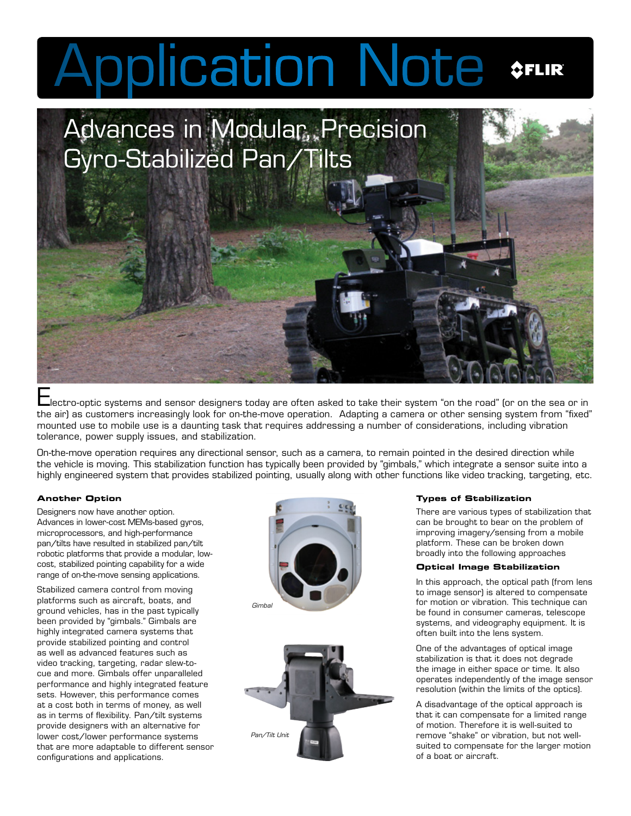# **Application Note SFLIR**



Electro-optic systems and sensor designers today are often asked to take their system "on the road" (or on the sea or in the air) as customers increasingly look for on-the-move operation. Adapting a camera or other sensing system from "fixed" mounted use to mobile use is a daunting task that requires addressing a number of considerations, including vibration tolerance, power supply issues, and stabilization.

On-the-move operation requires any directional sensor, such as a camera, to remain pointed in the desired direction while the vehicle is moving. This stabilization function has typically been provided by "gimbals," which integrate a sensor suite into a highly engineered system that provides stabilized pointing, usually along with other functions like video tracking, targeting, etc.

## **Another Option**

Designers now have another option. Advances in lower-cost MEMs-based gyros, microprocessors, and high-performance pan/tilts have resulted in stabilized pan/tilt robotic platforms that provide a modular, lowcost, stabilized pointing capability for a wide range of on-the-move sensing applications.

Stabilized camera control from moving platforms such as aircraft, boats, and ground vehicles, has in the past typically been provided by "gimbals." Gimbals are highly integrated camera systems that provide stabilized pointing and control as well as advanced features such as video tracking, targeting, radar slew-tocue and more. Gimbals offer unparalleled performance and highly integrated feature sets. However, this performance comes at a cost both in terms of money, as well as in terms of flexibility. Pan/tilt systems provide designers with an alternative for lower cost/lower performance systems that are more adaptable to different sensor configurations and applications.



# **Types of Stabilization**

There are various types of stabilization that can be brought to bear on the problem of improving imagery/sensing from a mobile platform. These can be broken down broadly into the following approaches

#### **Optical Image Stabilization**

In this approach, the optical path (from lens to image sensor) is altered to compensate for motion or vibration. This technique can be found in consumer cameras, telescope systems, and videography equipment. It is often built into the lens system.

One of the advantages of optical image stabilization is that it does not degrade the image in either space or time. It also operates independently of the image sensor resolution (within the limits of the optics).

A disadvantage of the optical approach is that it can compensate for a limited range of motion. Therefore it is well-suited to remove "shake" or vibration, but not wellsuited to compensate for the larger motion of a boat or aircraft.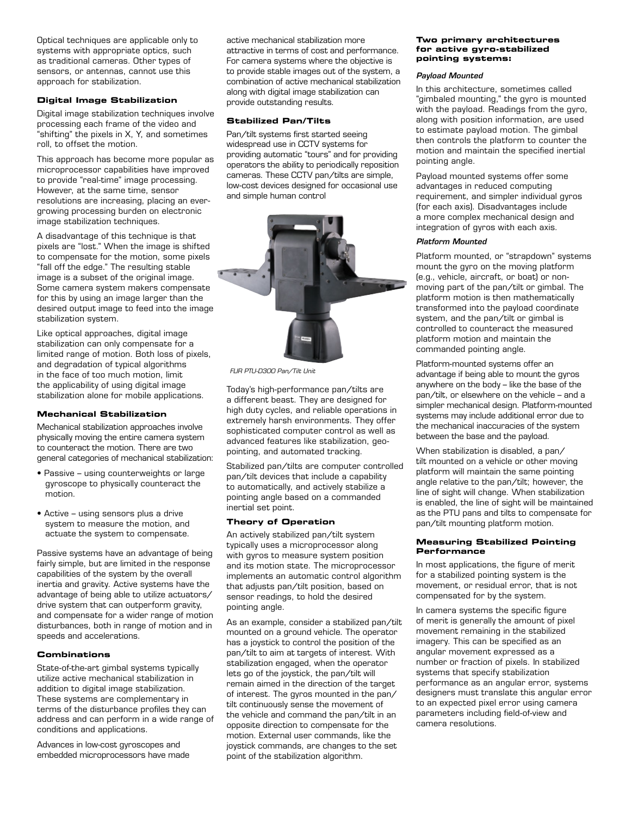Optical techniques are applicable only to systems with appropriate optics, such as traditional cameras. Other types of sensors, or antennas, cannot use this approach for stabilization.

#### **Digital Image Stabilization**

Digital image stabilization techniques involve processing each frame of the video and "shifting" the pixels in X, Y, and sometimes roll, to offset the motion.

This approach has become more popular as microprocessor capabilities have improved to provide "real-time" image processing. However, at the same time, sensor resolutions are increasing, placing an evergrowing processing burden on electronic image stabilization techniques.

A disadvantage of this technique is that pixels are "lost." When the image is shifted to compensate for the motion, some pixels "fall off the edge." The resulting stable image is a subset of the original image. Some camera system makers compensate for this by using an image larger than the desired output image to feed into the image stabilization system.

Like optical approaches, digital image stabilization can only compensate for a limited range of motion. Both loss of pixels, and degradation of typical algorithms in the face of too much motion, limit the applicability of using digital image stabilization alone for mobile applications.

### **Mechanical Stabilization**

Mechanical stabilization approaches involve physically moving the entire camera system to counteract the motion. There are two general categories of mechanical stabilization:

- Passive using counterweights or large gyroscope to physically counteract the motion.
- Active using sensors plus a drive system to measure the motion, and actuate the system to compensate.

Passive systems have an advantage of being fairly simple, but are limited in the response capabilities of the system by the overall inertia and gravity. Active systems have the advantage of being able to utilize actuators/ drive system that can outperform gravity, and compensate for a wider range of motion disturbances, both in range of motion and in speeds and accelerations.

#### **Combinations**

State-of-the-art gimbal systems typically utilize active mechanical stabilization in addition to digital image stabilization. These systems are complementary in terms of the disturbance profiles they can address and can perform in a wide range of conditions and applications.

Advances in low-cost gyroscopes and embedded microprocessors have made

active mechanical stabilization more attractive in terms of cost and performance. For camera systems where the objective is to provide stable images out of the system, a combination of active mechanical stabilization along with digital image stabilization can provide outstanding results.

#### **Stabilized Pan/Tilts**

Pan/tilt systems first started seeing widespread use in CCTV systems for providing automatic "tours" and for providing operators the ability to periodically reposition cameras. These CCTV pan/tilts are simple, low-cost devices designed for occasional use and simple human control



*FLIR PTU-D300 Pan/Tilt Unit*

Today's high-performance pan/tilts are a different beast. They are designed for high duty cycles, and reliable operations in extremely harsh environments. They offer sophisticated computer control as well as advanced features like stabilization, geopointing, and automated tracking.

Stabilized pan/tilts are computer controlled pan/tilt devices that include a capability to automatically, and actively stabilize a pointing angle based on a commanded inertial set point.

#### **Theory of Operation**

An actively stabilized pan/tilt system typically uses a microprocessor along with gyros to measure system position and its motion state. The microprocessor implements an automatic control algorithm that adjusts pan/tilt position, based on sensor readings, to hold the desired pointing angle.

As an example, consider a stabilized pan/tilt mounted on a ground vehicle. The operator has a joystick to control the position of the pan/tilt to aim at targets of interest. With stabilization engaged, when the operator lets go of the joystick, the pan/tilt will remain aimed in the direction of the target of interest. The gyros mounted in the pan/ tilt continuously sense the movement of the vehicle and command the pan/tilt in an opposite direction to compensate for the motion. External user commands, like the joystick commands, are changes to the set point of the stabilization algorithm.

#### **Two primary architectures for active gyro-stabilized pointing systems:**

#### *Payload Mounted*

In this architecture, sometimes called "gimbaled mounting," the gyro is mounted with the payload. Readings from the gyro, along with position information, are used to estimate payload motion. The gimbal then controls the platform to counter the motion and maintain the specified inertial pointing angle.

Payload mounted systems offer some advantages in reduced computing requirement, and simpler individual gyros (for each axis). Disadvantages include a more complex mechanical design and integration of gyros with each axis.

#### *Platform Mounted*

Platform mounted, or "strapdown" systems mount the gyro on the moving platform (e.g., vehicle, aircraft, or boat) or nonmoving part of the pan/tilt or gimbal. The platform motion is then mathematically transformed into the payload coordinate system, and the pan/tilt or gimbal is controlled to counteract the measured platform motion and maintain the commanded pointing angle.

Platform-mounted systems offer an advantage if being able to mount the gyros anywhere on the body – like the base of the pan/tilt, or elsewhere on the vehicle – and a simpler mechanical design. Platform-mounted systems may include additional error due to the mechanical inaccuracies of the system between the base and the payload.

When stabilization is disabled, a pan/ tilt mounted on a vehicle or other moving platform will maintain the same pointing angle relative to the pan/tilt; however, the line of sight will change. When stabilization is enabled, the line of sight will be maintained as the PTU pans and tilts to compensate for pan/tilt mounting platform motion.

#### **Measuring Stabilized Pointing Performance**

In most applications, the figure of merit for a stabilized pointing system is the movement, or residual error, that is not compensated for by the system.

In camera systems the specific figure of merit is generally the amount of pixel movement remaining in the stabilized imagery. This can be specified as an angular movement expressed as a number or fraction of pixels. In stabilized systems that specify stabilization performance as an angular error, systems designers must translate this angular error to an expected pixel error using camera parameters including field-of-view and camera resolutions.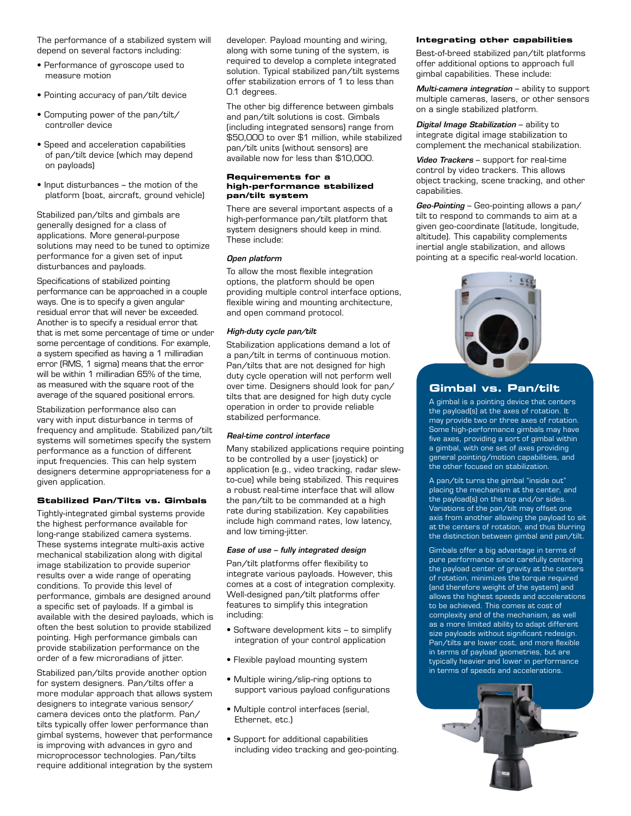The performance of a stabilized system will depend on several factors including:

- Performance of gyroscope used to measure motion
- Pointing accuracy of pan/tilt device
- Computing power of the pan/tilt/ controller device
- Speed and acceleration capabilities of pan/tilt device (which may depend on payloads)
- Input disturbances the motion of the platform (boat, aircraft, ground vehicle)

Stabilized pan/tilts and gimbals are generally designed for a class of applications. More general-purpose solutions may need to be tuned to optimize performance for a given set of input disturbances and payloads.

Specifications of stabilized pointing performance can be approached in a couple ways. One is to specify a given angular residual error that will never be exceeded. Another is to specify a residual error that that is met some percentage of time or under some percentage of conditions. For example, a system specified as having a 1 milliradian error (RMS, 1 sigma) means that the error will be within 1 milliradian 65% of the time, as measured with the square root of the average of the squared positional errors.

Stabilization performance also can vary with input disturbance in terms of frequency and amplitude. Stabilized pan/tilt systems will sometimes specify the system performance as a function of different input frequencies. This can help system designers determine appropriateness for a given application.

#### **Stabilized Pan/Tilts vs. Gimbals**

Tightly-integrated gimbal systems provide the highest performance available for long-range stabilized camera systems. These systems integrate multi-axis active mechanical stabilization along with digital image stabilization to provide superior results over a wide range of operating conditions. To provide this level of performance, gimbals are designed around a specific set of payloads. If a gimbal is available with the desired payloads, which is often the best solution to provide stabilized pointing. High performance gimbals can provide stabilization performance on the order of a few microradians of jitter.

Stabilized pan/tilts provide another option for system designers. Pan/tilts offer a more modular approach that allows system designers to integrate various sensor/ camera devices onto the platform. Pan/ tilts typically offer lower performance than gimbal systems, however that performance is improving with advances in gyro and microprocessor technologies. Pan/tilts require additional integration by the system

developer. Payload mounting and wiring, along with some tuning of the system, is required to develop a complete integrated solution. Typical stabilized pan/tilt systems offer stabilization errors of 1 to less than 0.1 degrees.

The other big difference between gimbals and pan/tilt solutions is cost. Gimbals (including integrated sensors) range from \$50,000 to over \$1 million, while stabilized pan/tilt units (without sensors) are available now for less than \$10,000.

#### **Requirements for a high-performance stabilized pan/tilt system**

There are several important aspects of a high-performance pan/tilt platform that system designers should keep in mind. These include:

#### *Open platform*

To allow the most flexible integration options, the platform should be open providing multiple control interface options, flexible wiring and mounting architecture, and open command protocol.

#### *High-duty cycle pan/tilt*

Stabilization applications demand a lot of a pan/tilt in terms of continuous motion. Pan/tilts that are not designed for high duty cycle operation will not perform well over time. Designers should look for pan/ tilts that are designed for high duty cycle operation in order to provide reliable stabilized performance.

#### *Real-time control interface*

Many stabilized applications require pointing to be controlled by a user (joystick) or application (e.g., video tracking, radar slewto-cue) while being stabilized. This requires a robust real-time interface that will allow the pan/tilt to be commanded at a high rate during stabilization. Key capabilities include high command rates, low latency, and low timing-jitter.

#### *Ease of use – fully integrated design*

Pan/tilt platforms offer flexibility to integrate various payloads. However, this comes at a cost of integration complexity. Well-designed pan/tilt platforms offer features to simplify this integration including:

- Software development kits to simplify integration of your control application
- Flexible payload mounting system
- Multiple wiring/slip-ring options to support various payload configurations
- Multiple control interfaces (serial, Ethernet, etc.)
- Support for additional capabilities including video tracking and geo-pointing.

#### **Integrating other capabilities**

Best-of-breed stabilized pan/tilt platforms offer additional options to approach full gimbal capabilities. These include:

*Multi-camera integration* – ability to support multiple cameras, lasers, or other sensors on a single stabilized platform.

*Digital Image Stabilization* – ability to integrate digital image stabilization to complement the mechanical stabilization.

*Video Trackers* – support for real-time control by video trackers. This allows object tracking, scene tracking, and other capabilities.

*Geo-Pointing* – Geo-pointing allows a pan/ tilt to respond to commands to aim at a given geo-coordinate (latitude, longitude, altitude). This capability complements inertial angle stabilization, and allows pointing at a specific real-world location.



# **Gimbal vs. Pan/tilt**

A gimbal is a pointing device that centers the payload(s) at the axes of rotation. It may provide two or three axes of rotation. Some high-performance gimbals may have five axes, providing a sort of gimbal within a gimbal, with one set of axes providing general pointing/motion capabilities, and the other focused on stabilization.

A pan/tilt turns the gimbal "inside out" placing the mechanism at the center, and the payload(s) on the top and/or sides. Variations of the pan/tilt may offset one axis from another allowing the payload to sit at the centers of rotation, and thus blurring the distinction between gimbal and pan/tilt.

Gimbals offer a big advantage in terms of pure performance since carefully centering the payload center of gravity at the centers of rotation, minimizes the torque required (and therefore weight of the system) and allows the highest speeds and accelerations to be achieved. This comes at cost of complexity and of the mechanism, as well as a more limited ability to adapt different size payloads without significant redesign. Pan/tilts are lower cost, and more flexible in terms of payload geometries, but are typically heavier and lower in performance in terms of speeds and accelerations.

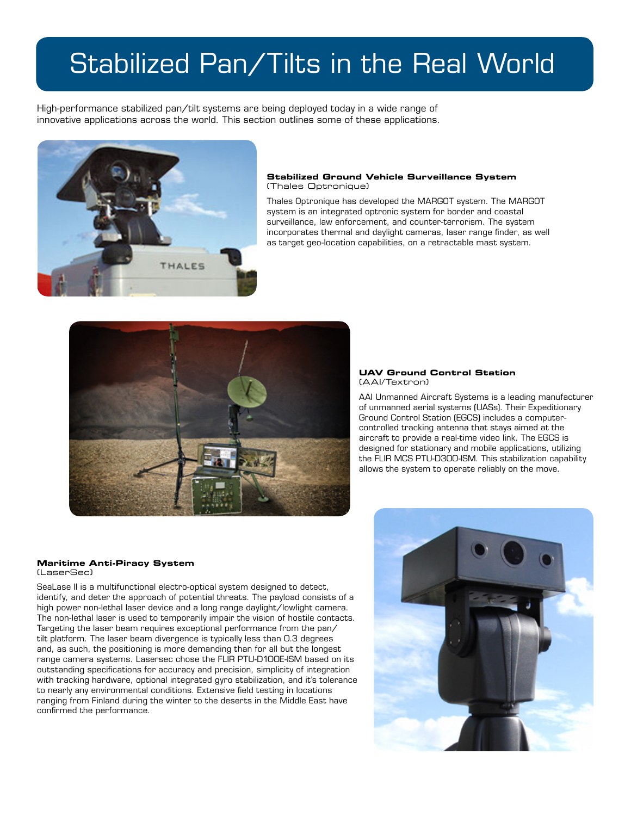# Stabilized Pan/Tilts in the Real World

High-performance stabilized pan/tilt systems are being deployed today in a wide range of innovative applications across the world. This section outlines some of these applications.



#### **Stabilized Ground Vehicle Surveillance System**  (Thales Optronique)

Thales Optronique has developed the MARGOT system. The MARGOT system is an integrated optronic system for border and coastal surveillance, law enforcement, and counter-terrorism. The system incorporates thermal and daylight cameras, laser range finder, as well as target geo-location capabilities, on a retractable mast system.



#### **UAV Ground Control Station**  (AAI/Textron)

AAI Unmanned Aircraft Systems is a leading manufacturer of unmanned aerial systems (UASs). Their Expeditionary Ground Control Station (EGCS) includes a computercontrolled tracking antenna that stays aimed at the aircraft to provide a real-time video link. The EGCS is designed for stationary and mobile applications, utilizing the FLIR MCS PTU-D300-ISM. This stabilization capability allows the system to operate reliably on the move.

#### **Maritime Anti-Piracy System**  (LaserSec)

SeaLase II is a multifunctional electro-optical system designed to detect, identify, and deter the approach of potential threats. The payload consists of a high power non-lethal laser device and a long range daylight/lowlight camera. The non-lethal laser is used to temporarily impair the vision of hostile contacts. Targeting the laser beam requires exceptional performance from the pan/ tilt platform. The laser beam divergence is typically less than 0.3 degrees and, as such, the positioning is more demanding than for all but the longest range camera systems. Lasersec chose the FLIR PTU-D100E-ISM based on its outstanding specifications for accuracy and precision, simplicity of integration with tracking hardware, optional integrated gyro stabilization, and it's tolerance to nearly any environmental conditions. Extensive field testing in locations ranging from Finland during the winter to the deserts in the Middle East have confirmed the performance.